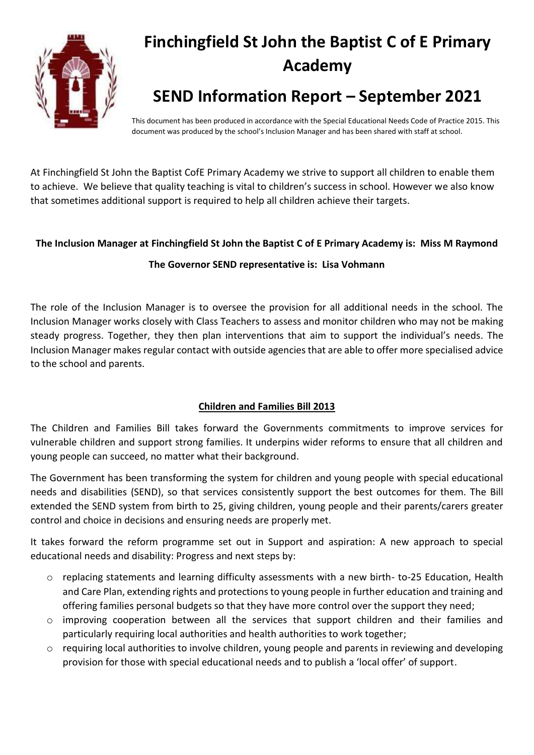

# **Finchingfield St John the Baptist C of E Primary Academy**

# **SEND Information Report – September 2021**

This document has been produced in accordance with the Special Educational Needs Code of Practice 2015. This document was produced by the school's Inclusion Manager and has been shared with staff at school.

At Finchingfield St John the Baptist CofE Primary Academy we strive to support all children to enable them to achieve. We believe that quality teaching is vital to children's success in school. However we also know that sometimes additional support is required to help all children achieve their targets.

# **The Inclusion Manager at Finchingfield St John the Baptist C of E Primary Academy is: Miss M Raymond**

# **The Governor SEND representative is: Lisa Vohmann**

The role of the Inclusion Manager is to oversee the provision for all additional needs in the school. The Inclusion Manager works closely with Class Teachers to assess and monitor children who may not be making steady progress. Together, they then plan interventions that aim to support the individual's needs. The Inclusion Manager makes regular contact with outside agencies that are able to offer more specialised advice to the school and parents.

# **Children and Families Bill 2013**

The Children and Families Bill takes forward the Governments commitments to improve services for vulnerable children and support strong families. It underpins wider reforms to ensure that all children and young people can succeed, no matter what their background.

The Government has been transforming the system for children and young people with special educational needs and disabilities (SEND), so that services consistently support the best outcomes for them. The Bill extended the SEND system from birth to 25, giving children, young people and their parents/carers greater control and choice in decisions and ensuring needs are properly met.

It takes forward the reform programme set out in Support and aspiration: A new approach to special educational needs and disability: Progress and next steps by:

- o replacing statements and learning difficulty assessments with a new birth- to-25 Education, Health and Care Plan, extending rights and protections to young people in further education and training and offering families personal budgets so that they have more control over the support they need;
- $\circ$  improving cooperation between all the services that support children and their families and particularly requiring local authorities and health authorities to work together;
- o requiring local authorities to involve children, young people and parents in reviewing and developing provision for those with special educational needs and to publish a 'local offer' of support.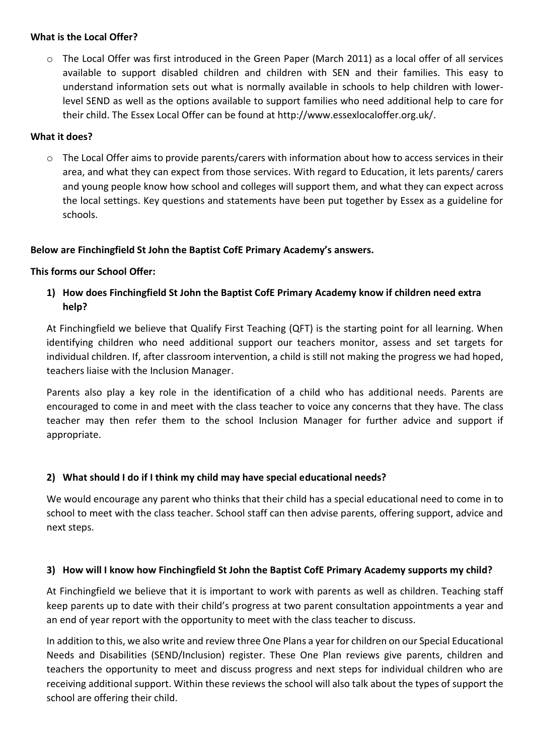# **What is the Local Offer?**

 $\circ$  The Local Offer was first introduced in the Green Paper (March 2011) as a local offer of all services available to support disabled children and children with SEN and their families. This easy to understand information sets out what is normally available in schools to help children with lowerlevel SEND as well as the options available to support families who need additional help to care for their child. The Essex Local Offer can be found at http://www.essexlocaloffer.org.uk/.

#### **What it does?**

 $\circ$  The Local Offer aims to provide parents/carers with information about how to access services in their area, and what they can expect from those services. With regard to Education, it lets parents/ carers and young people know how school and colleges will support them, and what they can expect across the local settings. Key questions and statements have been put together by Essex as a guideline for schools.

#### **Below are Finchingfield St John the Baptist CofE Primary Academy's answers.**

#### **This forms our School Offer:**

**1) How does Finchingfield St John the Baptist CofE Primary Academy know if children need extra help?**

At Finchingfield we believe that Qualify First Teaching (QFT) is the starting point for all learning. When identifying children who need additional support our teachers monitor, assess and set targets for individual children. If, after classroom intervention, a child is still not making the progress we had hoped, teachers liaise with the Inclusion Manager.

Parents also play a key role in the identification of a child who has additional needs. Parents are encouraged to come in and meet with the class teacher to voice any concerns that they have. The class teacher may then refer them to the school Inclusion Manager for further advice and support if appropriate.

# **2) What should I do if I think my child may have special educational needs?**

We would encourage any parent who thinks that their child has a special educational need to come in to school to meet with the class teacher. School staff can then advise parents, offering support, advice and next steps.

#### **3) How will I know how Finchingfield St John the Baptist CofE Primary Academy supports my child?**

At Finchingfield we believe that it is important to work with parents as well as children. Teaching staff keep parents up to date with their child's progress at two parent consultation appointments a year and an end of year report with the opportunity to meet with the class teacher to discuss.

In addition to this, we also write and review three One Plans a year for children on our Special Educational Needs and Disabilities (SEND/Inclusion) register. These One Plan reviews give parents, children and teachers the opportunity to meet and discuss progress and next steps for individual children who are receiving additional support. Within these reviews the school will also talk about the types of support the school are offering their child.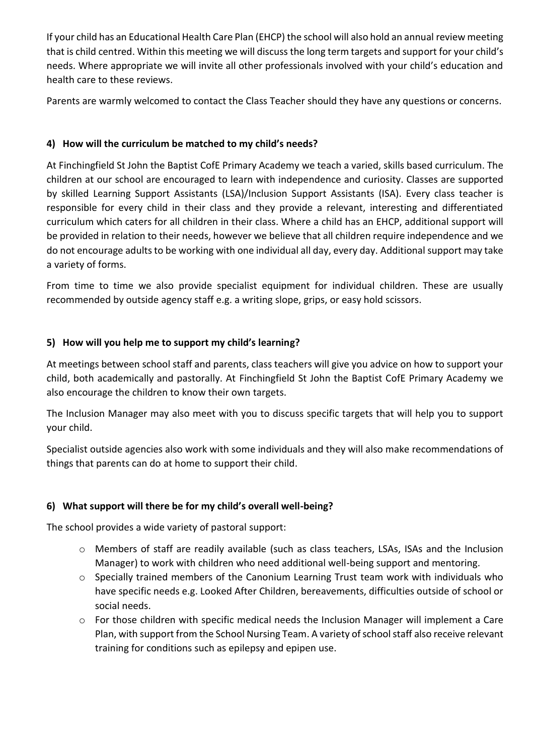If your child has an Educational Health Care Plan (EHCP) the school will also hold an annual review meeting that is child centred. Within this meeting we will discuss the long term targets and support for your child's needs. Where appropriate we will invite all other professionals involved with your child's education and health care to these reviews.

Parents are warmly welcomed to contact the Class Teacher should they have any questions or concerns.

# **4) How will the curriculum be matched to my child's needs?**

At Finchingfield St John the Baptist CofE Primary Academy we teach a varied, skills based curriculum. The children at our school are encouraged to learn with independence and curiosity. Classes are supported by skilled Learning Support Assistants (LSA)/Inclusion Support Assistants (ISA). Every class teacher is responsible for every child in their class and they provide a relevant, interesting and differentiated curriculum which caters for all children in their class. Where a child has an EHCP, additional support will be provided in relation to their needs, however we believe that all children require independence and we do not encourage adults to be working with one individual all day, every day. Additional support may take a variety of forms.

From time to time we also provide specialist equipment for individual children. These are usually recommended by outside agency staff e.g. a writing slope, grips, or easy hold scissors.

# **5) How will you help me to support my child's learning?**

At meetings between school staff and parents, class teachers will give you advice on how to support your child, both academically and pastorally. At Finchingfield St John the Baptist CofE Primary Academy we also encourage the children to know their own targets.

The Inclusion Manager may also meet with you to discuss specific targets that will help you to support your child.

Specialist outside agencies also work with some individuals and they will also make recommendations of things that parents can do at home to support their child.

# **6) What support will there be for my child's overall well-being?**

The school provides a wide variety of pastoral support:

- o Members of staff are readily available (such as class teachers, LSAs, ISAs and the Inclusion Manager) to work with children who need additional well-being support and mentoring.
- o Specially trained members of the Canonium Learning Trust team work with individuals who have specific needs e.g. Looked After Children, bereavements, difficulties outside of school or social needs.
- o For those children with specific medical needs the Inclusion Manager will implement a Care Plan, with support from the School Nursing Team. A variety of school staff also receive relevant training for conditions such as epilepsy and epipen use.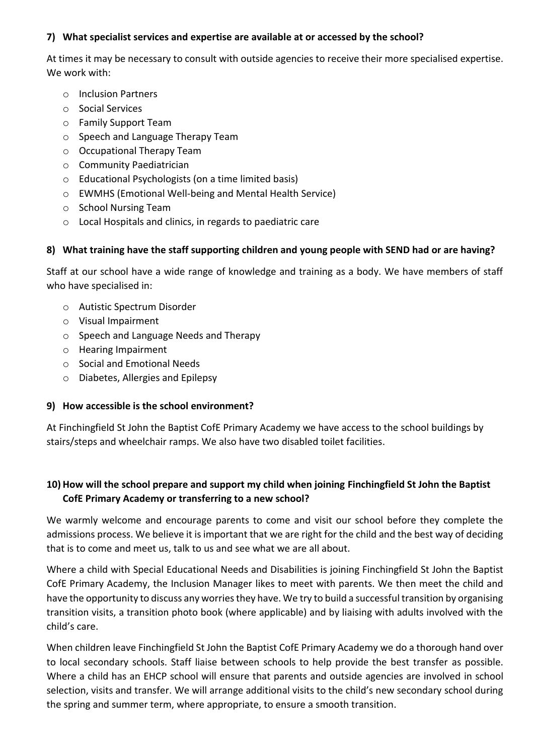# **7) What specialist services and expertise are available at or accessed by the school?**

At times it may be necessary to consult with outside agencies to receive their more specialised expertise. We work with:

- o Inclusion Partners
- o Social Services
- o Family Support Team
- o Speech and Language Therapy Team
- o Occupational Therapy Team
- o Community Paediatrician
- o Educational Psychologists (on a time limited basis)
- o EWMHS (Emotional Well-being and Mental Health Service)
- o School Nursing Team
- o Local Hospitals and clinics, in regards to paediatric care

# **8) What training have the staff supporting children and young people with SEND had or are having?**

Staff at our school have a wide range of knowledge and training as a body. We have members of staff who have specialised in:

- o Autistic Spectrum Disorder
- o Visual Impairment
- o Speech and Language Needs and Therapy
- o Hearing Impairment
- o Social and Emotional Needs
- o Diabetes, Allergies and Epilepsy

# **9) How accessible is the school environment?**

At Finchingfield St John the Baptist CofE Primary Academy we have access to the school buildings by stairs/steps and wheelchair ramps. We also have two disabled toilet facilities.

# **10) How will the school prepare and support my child when joining Finchingfield St John the Baptist CofE Primary Academy or transferring to a new school?**

We warmly welcome and encourage parents to come and visit our school before they complete the admissions process. We believe it is important that we are right for the child and the best way of deciding that is to come and meet us, talk to us and see what we are all about.

Where a child with Special Educational Needs and Disabilities is joining Finchingfield St John the Baptist CofE Primary Academy, the Inclusion Manager likes to meet with parents. We then meet the child and have the opportunity to discuss any worries they have. We try to build a successful transition by organising transition visits, a transition photo book (where applicable) and by liaising with adults involved with the child's care.

When children leave Finchingfield St John the Baptist CofE Primary Academy we do a thorough hand over to local secondary schools. Staff liaise between schools to help provide the best transfer as possible. Where a child has an EHCP school will ensure that parents and outside agencies are involved in school selection, visits and transfer. We will arrange additional visits to the child's new secondary school during the spring and summer term, where appropriate, to ensure a smooth transition.